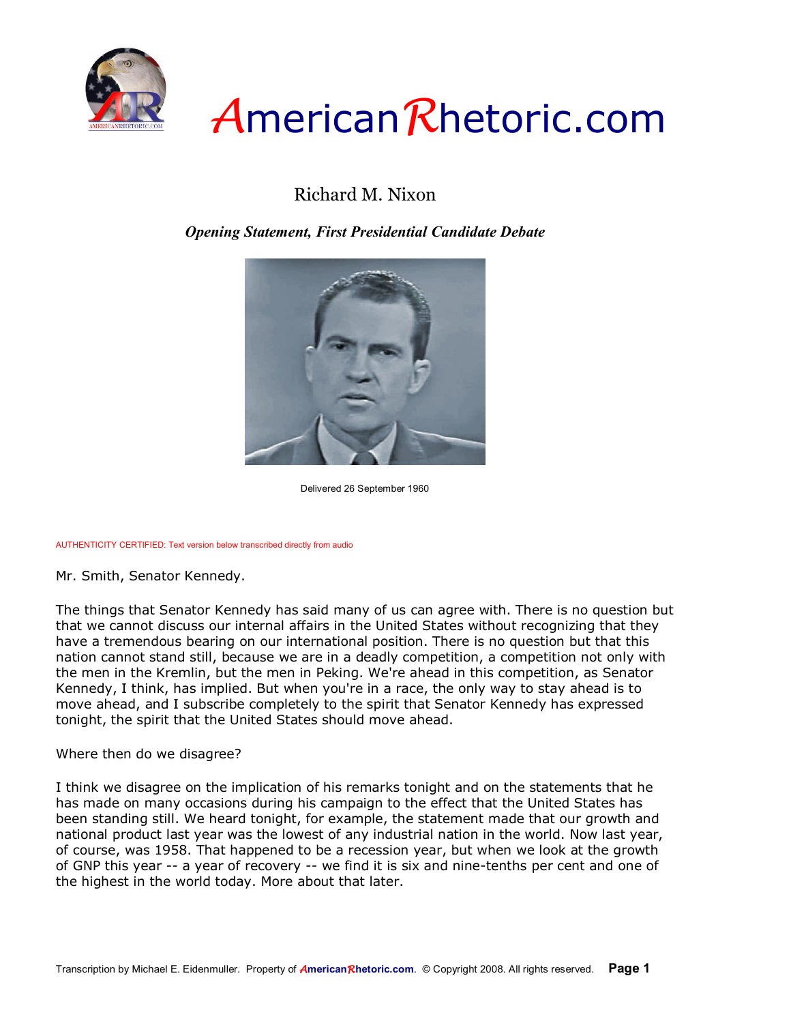

## *A*merican*R*hetoric.com

## Richard M. Nixon

*Opening Statement, First Presidential Candidate Debate*



Delivered 26 September 1960

## AUTHENTICITY CERTIFIED: Text version below transcribed directly from audio

Mr. Smith, Senator Kennedy.

The things that Senator Kennedy has said many of us can agree with. There is no question but that we cannot discuss our internal affairs in the United States without recognizing that they have a tremendous bearing on our international position. There is no question but that this nation cannot stand still, because we are in a deadly competition, a competition not only with the men in the Kremlin, but the men in Peking. We're ahead in this competition, as Senator Kennedy, I think, has implied. But when you're in a race, the only way to stay ahead is to move ahead, and I subscribe completely to the spirit that Senator Kennedy has expressed tonight, the spirit that the United States should move ahead.

Where then do we disagree?

I think we disagree on the implication of his remarks tonight and on the statements that he has made on many occasions during his campaign to the effect that the United States has been standing still. We heard tonight, for example, the statement made that our growth and national product last year was the lowest of any industrial nation in the world. Now last year, of course, was 1958. That happened to be a recession year, but when we look at the growth of GNP this year -- a year of recovery -- we find it is six and nine-tenths per cent and one of the highest in the world today. More about that later.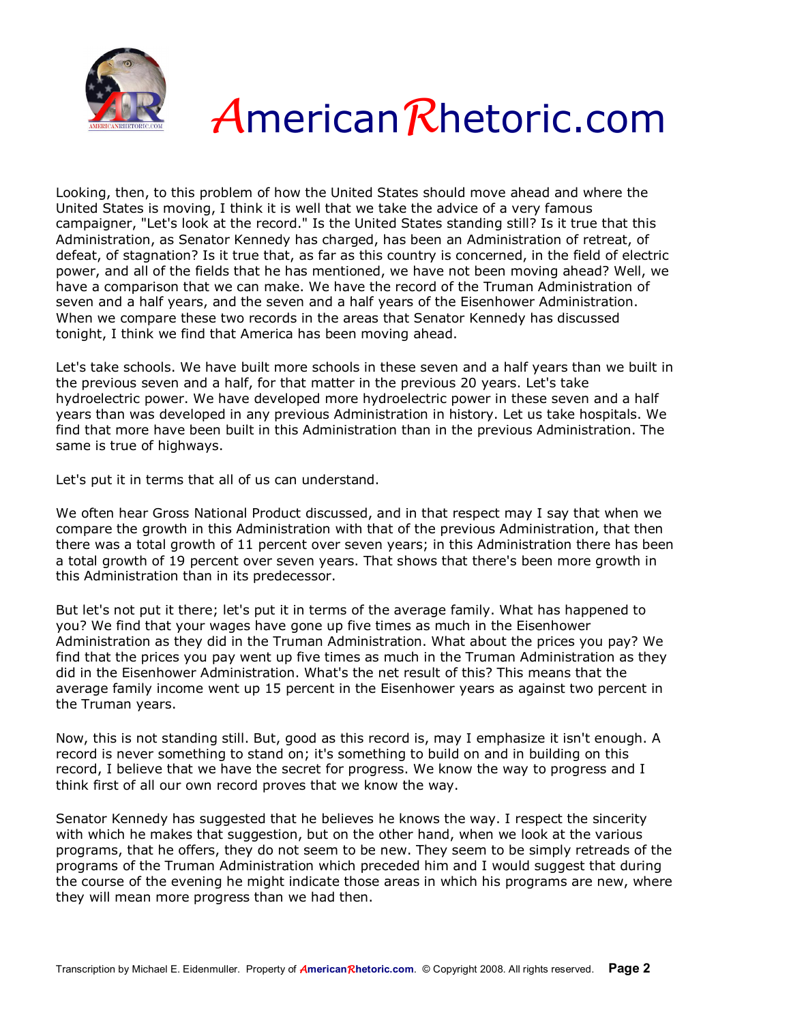



Looking, then, to this problem of how the United States should move ahead and where the United States is moving, I think it is well that we take the advice of a very famous campaigner, "Let's look at the record." Is the United States standing still? Is it true that this Administration, as Senator Kennedy has charged, has been an Administration of retreat, of defeat, of stagnation? Is it true that, as far as this country is concerned, in the field of electric power, and all of the fields that he has mentioned, we have not been moving ahead? Well, we have a comparison that we can make. We have the record of the Truman Administration of seven and a half years, and the seven and a half years of the Eisenhower Administration. When we compare these two records in the areas that Senator Kennedy has discussed tonight, I think we find that America has been moving ahead.

Let's take schools. We have built more schools in these seven and a half years than we built in the previous seven and a half, for that matter in the previous 20 years. Let's take hydroelectric power. We have developed more hydroelectric power in these seven and a half years than was developed in any previous Administration in history. Let us take hospitals. We find that more have been built in this Administration than in the previous Administration. The same is true of highways.

Let's put it in terms that all of us can understand.

We often hear Gross National Product discussed, and in that respect may I say that when we compare the growth in this Administration with that of the previous Administration, that then there was a total growth of 11 percent over seven years; in this Administration there has been a total growth of 19 percent over seven years. That shows that there's been more growth in this Administration than in its predecessor.

But let's not put it there; let's put it in terms of the average family. What has happened to you? We find that your wages have gone up five times as much in the Eisenhower Administration as they did in the Truman Administration. What about the prices you pay? We find that the prices you pay went up five times as much in the Truman Administration as they did in the Eisenhower Administration. What's the net result of this? This means that the average family income went up 15 percent in the Eisenhower years as against two percent in the Truman years.

Now, this is not standing still. But, good as this record is, may I emphasize it isn't enough. A record is never something to stand on; it's something to build on and in building on this record, I believe that we have the secret for progress. We know the way to progress and I think first of all our own record proves that we know the way.

Senator Kennedy has suggested that he believes he knows the way. I respect the sincerity with which he makes that suggestion, but on the other hand, when we look at the various programs, that he offers, they do not seem to be new. They seem to be simply retreads of the programs of the Truman Administration which preceded him and I would suggest that during the course of the evening he might indicate those areas in which his programs are new, where they will mean more progress than we had then.